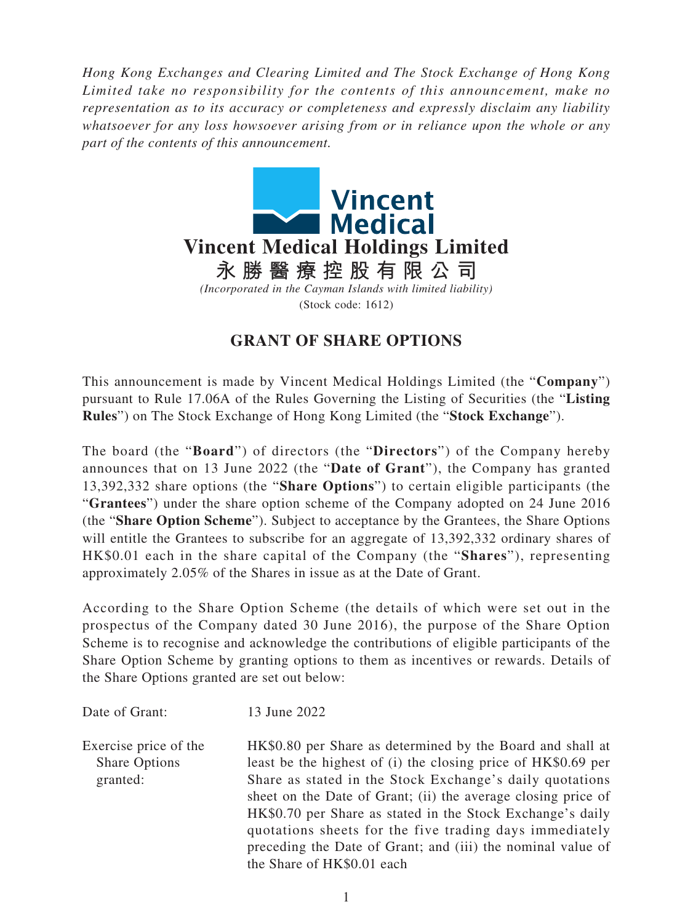*Hong Kong Exchanges and Clearing Limited and The Stock Exchange of Hong Kong Limited take no responsibility for the contents of this announcement, make no representation as to its accuracy or completeness and expressly disclaim any liability whatsoever for any loss howsoever arising from or in reliance upon the whole or any part of the contents of this announcement.*



## **GRANT OF SHARE OPTIONS**

This announcement is made by Vincent Medical Holdings Limited (the "**Company**") pursuant to Rule 17.06A of the Rules Governing the Listing of Securities (the "**Listing Rules**") on The Stock Exchange of Hong Kong Limited (the "**Stock Exchange**").

The board (the "**Board**") of directors (the "**Directors**") of the Company hereby announces that on 13 June 2022 (the "**Date of Grant**"), the Company has granted 13,392,332 share options (the "**Share Options**") to certain eligible participants (the "**Grantees**") under the share option scheme of the Company adopted on 24 June 2016 (the "**Share Option Scheme**"). Subject to acceptance by the Grantees, the Share Options will entitle the Grantees to subscribe for an aggregate of 13,392,332 ordinary shares of HK\$0.01 each in the share capital of the Company (the "**Shares**"), representing approximately 2.05% of the Shares in issue as at the Date of Grant.

According to the Share Option Scheme (the details of which were set out in the prospectus of the Company dated 30 June 2016), the purpose of the Share Option Scheme is to recognise and acknowledge the contributions of eligible participants of the Share Option Scheme by granting options to them as incentives or rewards. Details of the Share Options granted are set out below:

Date of Grant: 13 June 2022

Exercise price of the Share Options granted:

HK\$0.80 per Share as determined by the Board and shall at least be the highest of (i) the closing price of HK\$0.69 per Share as stated in the Stock Exchange's daily quotations sheet on the Date of Grant; (ii) the average closing price of HK\$0.70 per Share as stated in the Stock Exchange's daily quotations sheets for the five trading days immediately preceding the Date of Grant; and (iii) the nominal value of the Share of HK\$0.01 each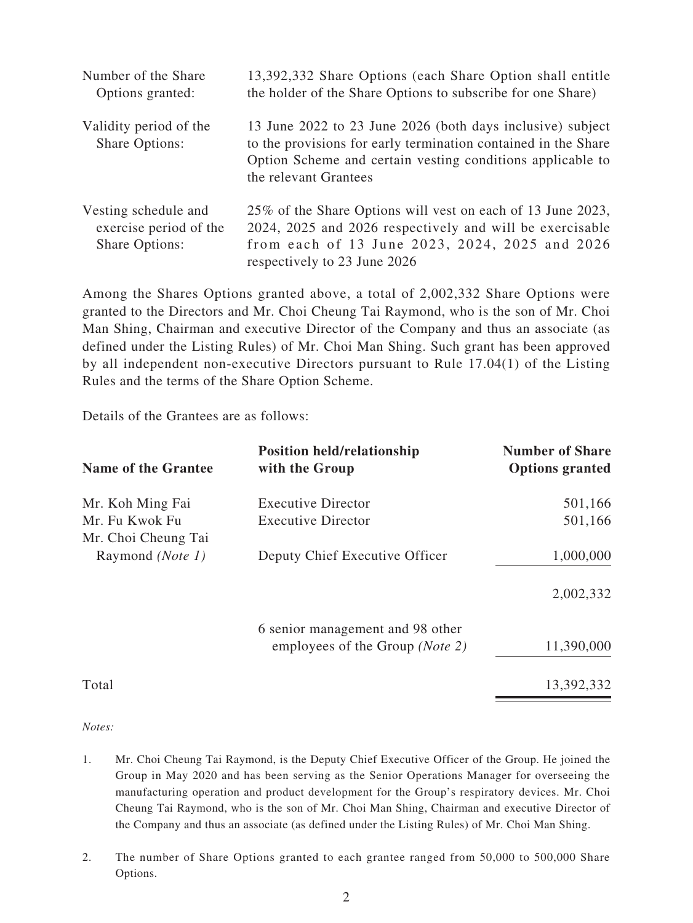| Number of the Share<br>Options granted:                                 | 13,392,332 Share Options (each Share Option shall entitle<br>the holder of the Share Options to subscribe for one Share)                                                                                            |  |
|-------------------------------------------------------------------------|---------------------------------------------------------------------------------------------------------------------------------------------------------------------------------------------------------------------|--|
| Validity period of the<br><b>Share Options:</b>                         | 13 June 2022 to 23 June 2026 (both days inclusive) subject<br>to the provisions for early termination contained in the Share<br>Option Scheme and certain vesting conditions applicable to<br>the relevant Grantees |  |
| Vesting schedule and<br>exercise period of the<br><b>Share Options:</b> | 25% of the Share Options will vest on each of 13 June 2023,<br>2024, 2025 and 2026 respectively and will be exercisable<br>from each of 13 June 2023, 2024, 2025 and 2026<br>respectively to 23 June 2026           |  |

Among the Shares Options granted above, a total of 2,002,332 Share Options were granted to the Directors and Mr. Choi Cheung Tai Raymond, who is the son of Mr. Choi Man Shing, Chairman and executive Director of the Company and thus an associate (as defined under the Listing Rules) of Mr. Choi Man Shing. Such grant has been approved by all independent non-executive Directors pursuant to Rule 17.04(1) of the Listing Rules and the terms of the Share Option Scheme.

Details of the Grantees are as follows:

| <b>Name of the Grantee</b>            | <b>Position held/relationship</b><br>with the Group | <b>Number of Share</b><br><b>Options granted</b> |
|---------------------------------------|-----------------------------------------------------|--------------------------------------------------|
| Mr. Koh Ming Fai                      | <b>Executive Director</b>                           | 501,166                                          |
| Mr. Fu Kwok Fu<br>Mr. Choi Cheung Tai | <b>Executive Director</b>                           | 501,166                                          |
| Raymond ( <i>Note 1</i> )             | Deputy Chief Executive Officer                      | 1,000,000                                        |
|                                       |                                                     | 2,002,332                                        |
|                                       | 6 senior management and 98 other                    |                                                  |
|                                       | employees of the Group ( <i>Note 2</i> )            | 11,390,000                                       |
| Total                                 |                                                     | 13,392,332                                       |

*Notes:*

- 1. Mr. Choi Cheung Tai Raymond, is the Deputy Chief Executive Officer of the Group. He joined the Group in May 2020 and has been serving as the Senior Operations Manager for overseeing the manufacturing operation and product development for the Group's respiratory devices. Mr. Choi Cheung Tai Raymond, who is the son of Mr. Choi Man Shing, Chairman and executive Director of the Company and thus an associate (as defined under the Listing Rules) of Mr. Choi Man Shing.
- 2. The number of Share Options granted to each grantee ranged from 50,000 to 500,000 Share Options.